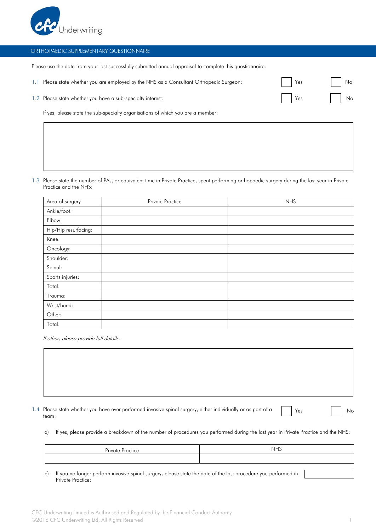

## ORTHOPAEDIC SUPPLEMENTARY QUESTIONNAIRE

Please use the data from your last successfully submitted annual appraisal to complete this questionnaire.

| 1.1 Please state whether you are employed by the NHS as a Consultant Orthopedic Surgeon: |  | Yes |  | $\overline{\phantom{a}}$ Nc |
|------------------------------------------------------------------------------------------|--|-----|--|-----------------------------|
|------------------------------------------------------------------------------------------|--|-----|--|-----------------------------|

1.2 Please state whether you have a sub-specialty interest: No was not a sub-specialty interest: No was not a sub-specialty interest:

If yes, please state the sub-specialty organisations of which you are a member:

1.3 Please state the number of PAs, or equivalent time in Private Practice, spent performing orthopaedic surgery during the last year in Private Practice and the NHS:

| Area of surgery      | Private Practice | <b>NHS</b> |
|----------------------|------------------|------------|
| Ankle/foot:          |                  |            |
| Elbow:               |                  |            |
| Hip/Hip resurfacing: |                  |            |
| Knee:                |                  |            |
| Oncology:            |                  |            |
| Shoulder:            |                  |            |
| Spinal:              |                  |            |
| Sports injuries:     |                  |            |
| Total:               |                  |            |
| Trauma:              |                  |            |
| Wrist/hand:          |                  |            |
| Other:               |                  |            |
| Total:               |                  |            |

If other, please provide full details:

| 1.4 Please state whether you have ever performed invasive spinal surgery, either individually or as part of a |  |
|---------------------------------------------------------------------------------------------------------------|--|
| team:                                                                                                         |  |

Yes No

a) If yes, please provide a breakdown of the number of procedures you performed during the last year in Private Practice and the NHS:

| <b>Private Practice</b>                          | <b>NHS</b> |  |
|--------------------------------------------------|------------|--|
|                                                  |            |  |
| $\sim$ $\sim$ $\sim$ $\sim$ $\sim$ $\sim$ $\sim$ | .          |  |

b) If you no longer perform invasive spinal surgery, please state the date of the last procedure you performed in Private Practice: